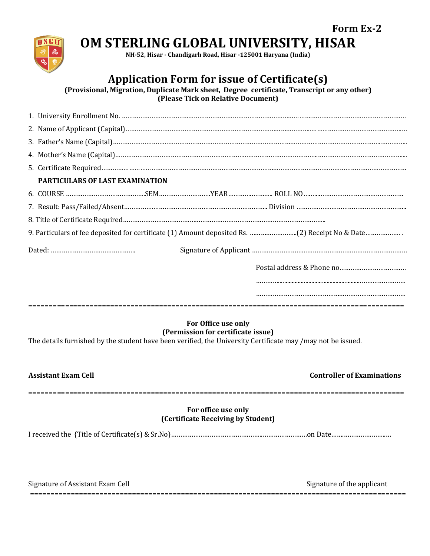# **OM STERLING GLOBAL UNIVERSITY, HISAR**

**NH-52, Hisar - Chandigarh Road, Hisar -125001 Haryana (India)**

# **Application Form for issue of Certificate(s)**

**(Provisional, Migration, Duplicate Mark sheet, Degree certificate, Transcript or any other) (Please Tick on Relative Document)**

|  | PARTICULARS OF LAST EXAMINATION                                                  |  |  |  |  |
|--|----------------------------------------------------------------------------------|--|--|--|--|
|  | 6. COURSE ……………………………………………SEM…………………………YEAR………………………ROLL NO…………………………………………………… |  |  |  |  |
|  |                                                                                  |  |  |  |  |
|  |                                                                                  |  |  |  |  |
|  |                                                                                  |  |  |  |  |
|  |                                                                                  |  |  |  |  |
|  |                                                                                  |  |  |  |  |
|  |                                                                                  |  |  |  |  |
|  |                                                                                  |  |  |  |  |
|  |                                                                                  |  |  |  |  |

#### **For Office use only (Permission for certificate issue)**

The details furnished by the student have been verified, the University Certificate may /may not be issued.

1 S C I

#### **Controller of Examinations**

**Form Ex-2**

#### **For office use only (Certificate Receiving by Student)**

============================================================================================

I received the {Title of Certificate(s) & Sr.No}…………………………………………..……………………on Date…….…………………..…

| $\sim$<br>: Accictant<br>$\sum$ | rnΑ  |
|---------------------------------|------|
| ___                             | ____ |